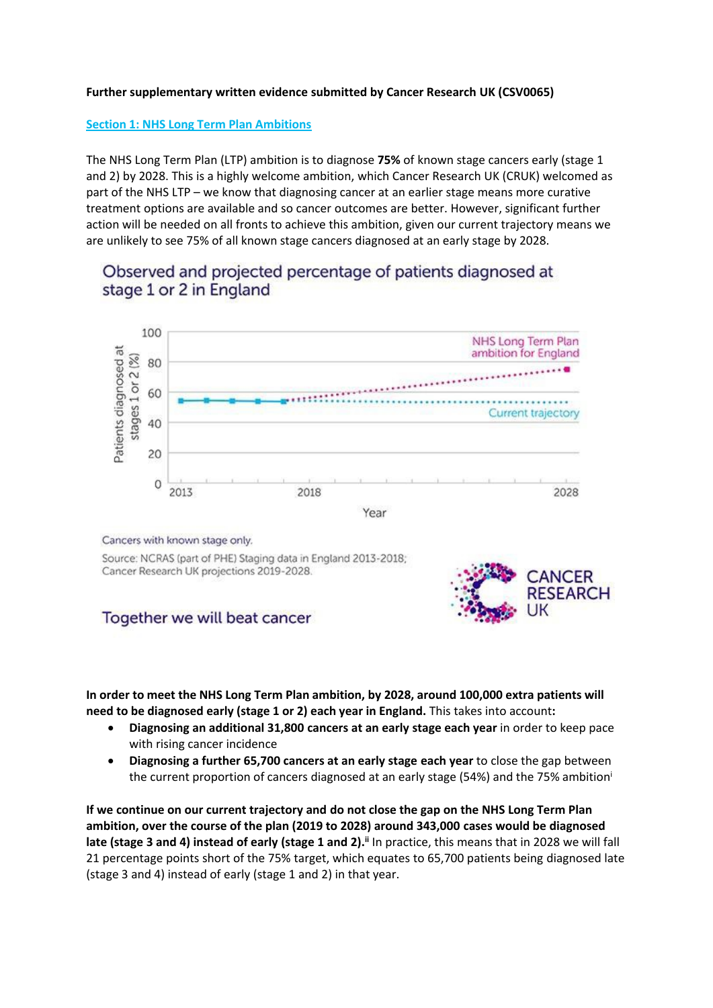## **Further supplementary written evidence submitted by Cancer Research UK (CSV0065)**

## **Section 1: NHS Long Term Plan Ambitions**

The NHS Long Term Plan (LTP) ambition is to diagnose **75%** of known stage cancers early (stage 1 and 2) by 2028. This is a highly welcome ambition, which Cancer Research UK (CRUK) welcomed as part of the NHS LTP – we know that diagnosing cancer at an earlier stage means more curative treatment options are available and so cancer outcomes are better. However, significant further action will be needed on all fronts to achieve this ambition, given our current trajectory means we are unlikely to see 75% of all known stage cancers diagnosed at an early stage by 2028.

# Observed and projected percentage of patients diagnosed at stage 1 or 2 in England



#### Cancers with known stage only.

Source: NCRAS (part of PHE) Staging data in England 2013-2018; Cancer Research UK projections 2019-2028.

## Together we will beat cancer



**In order to meet the NHS Long Term Plan ambition, by 2028, around 100,000 extra patients will need to be diagnosed early (stage 1 or 2) each year in England.** This takes into account**:**

- **Diagnosing an additional 31,800 cancers at an early stage each year** in order to keep pace with rising cancer incidence
- **Diagnosing a further 65,700 cancers at an early stage each year** to close the gap between the current proportion of cancers diagnosed at an early stage (54%) and the 75% ambition<sup>i</sup>

**If we continue on our current trajectory and do not close the gap on the NHS Long Term Plan ambition, over the course of the plan (2019 to 2028) around 343,000 cases would be diagnosed late (stage 3 and 4) instead of early (stage 1 and 2).ii** In practice, this means that in 2028 we will fall 21 percentage points short of the 75% target, which equates to 65,700 patients being diagnosed late (stage 3 and 4) instead of early (stage 1 and 2) in that year.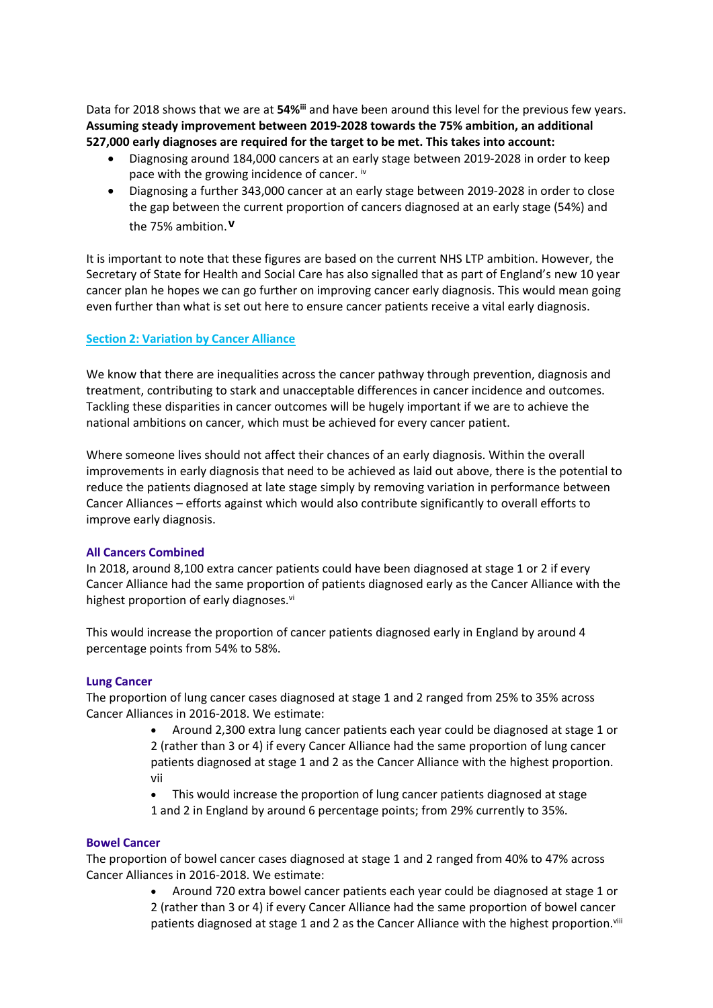Data for 2018 shows that we are at **54%iii** and have been around this level for the previous few years. **Assuming steady improvement between 2019-2028 towards the 75% ambition, an additional 527,000 early diagnoses are required for the target to be met. This takes into account:**

- Diagnosing around 184,000 cancers at an early stage between 2019-2028 in order to keep pace with the growing incidence of cancer. iv
- Diagnosing a further 343,000 cancer at an early stage between 2019-2028 in order to close the gap between the current proportion of cancers diagnosed at an early stage (54%) and the 75% ambition.**v**

It is important to note that these figures are based on the current NHS LTP ambition. However, the Secretary of State for Health and Social Care has also signalled that as part of England's new 10 year cancer plan he hopes we can go further on improving cancer early diagnosis. This would mean going even further than what is set out here to ensure cancer patients receive a vital early diagnosis.

## **Section 2: Variation by Cancer Alliance**

We know that there are inequalities across the cancer pathway through prevention, diagnosis and treatment, contributing to stark and unacceptable differences in cancer incidence and outcomes. Tackling these disparities in cancer outcomes will be hugely important if we are to achieve the national ambitions on cancer, which must be achieved for every cancer patient.

Where someone lives should not affect their chances of an early diagnosis. Within the overall improvements in early diagnosis that need to be achieved as laid out above, there is the potential to reduce the patients diagnosed at late stage simply by removing variation in performance between Cancer Alliances – efforts against which would also contribute significantly to overall efforts to improve early diagnosis.

#### **All Cancers Combined**

In 2018, around 8,100 extra cancer patients could have been diagnosed at stage 1 or 2 if every Cancer Alliance had the same proportion of patients diagnosed early as the Cancer Alliance with the highest proportion of early diagnoses.<sup>vi</sup>

This would increase the proportion of cancer patients diagnosed early in England by around 4 percentage points from 54% to 58%.

#### **Lung Cancer**

The proportion of lung cancer cases diagnosed at stage 1 and 2 ranged from 25% to 35% across Cancer Alliances in 2016-2018. We estimate:

> Around 2,300 extra lung cancer patients each year could be diagnosed at stage 1 or 2 (rather than 3 or 4) if every Cancer Alliance had the same proportion of lung cancer patients diagnosed at stage 1 and 2 as the Cancer Alliance with the highest proportion. vii

 This would increase the proportion of lung cancer patients diagnosed at stage 1 and 2 in England by around 6 percentage points; from 29% currently to 35%.

### **Bowel Cancer**

The proportion of bowel cancer cases diagnosed at stage 1 and 2 ranged from 40% to 47% across Cancer Alliances in 2016-2018. We estimate:

> Around 720 extra bowel cancer patients each year could be diagnosed at stage 1 or 2 (rather than 3 or 4) if every Cancer Alliance had the same proportion of bowel cancer patients diagnosed at stage 1 and 2 as the Cancer Alliance with the highest proportion.<sup>viii</sup>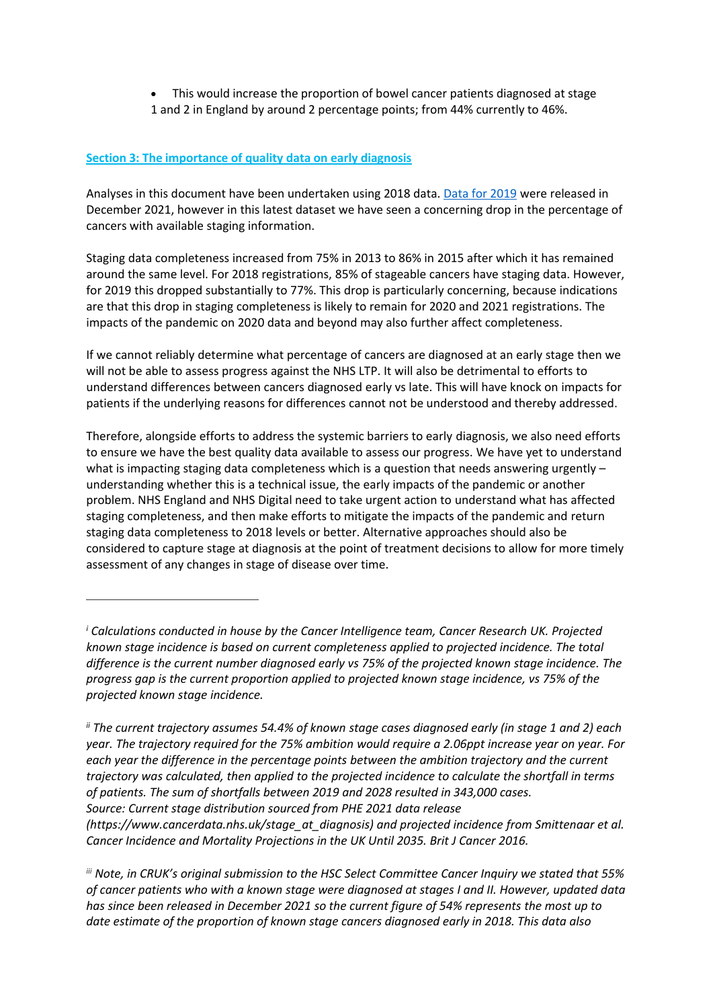This would increase the proportion of bowel cancer patients diagnosed at stage 1 and 2 in England by around 2 percentage points; from 44% currently to 46%.

## **Section 3: The importance of quality data on early diagnosis**

Analyses in this document have been undertaken using 2018 data. [Data](https://digital.nhs.uk/data-and-information/publications/statistical/case-mix-adjusted-percentage-cancers-diagnosed-at-stages-1-and-2-by-ccg-in-england/2019) [for](https://digital.nhs.uk/data-and-information/publications/statistical/case-mix-adjusted-percentage-cancers-diagnosed-at-stages-1-and-2-by-ccg-in-england/2019) [2019](https://digital.nhs.uk/data-and-information/publications/statistical/case-mix-adjusted-percentage-cancers-diagnosed-at-stages-1-and-2-by-ccg-in-england/2019) were released in December 2021, however in this latest dataset we have seen a concerning drop in the percentage of cancers with available staging information.

Staging data completeness increased from 75% in 2013 to 86% in 2015 after which it has remained around the same level. For 2018 registrations, 85% of stageable cancers have staging data. However, for 2019 this dropped substantially to 77%. This drop is particularly concerning, because indications are that this drop in staging completeness is likely to remain for 2020 and 2021 registrations. The impacts of the pandemic on 2020 data and beyond may also further affect completeness.

If we cannot reliably determine what percentage of cancers are diagnosed at an early stage then we will not be able to assess progress against the NHS LTP. It will also be detrimental to efforts to understand differences between cancers diagnosed early vs late. This will have knock on impacts for patients if the underlying reasons for differences cannot not be understood and thereby addressed.

Therefore, alongside efforts to address the systemic barriers to early diagnosis, we also need efforts to ensure we have the best quality data available to assess our progress. We have yet to understand what is impacting staging data completeness which is a question that needs answering urgently understanding whether this is a technical issue, the early impacts of the pandemic or another problem. NHS England and NHS Digital need to take urgent action to understand what has affected staging completeness, and then make efforts to mitigate the impacts of the pandemic and return staging data completeness to 2018 levels or better. Alternative approaches should also be considered to capture stage at diagnosis at the point of treatment decisions to allow for more timely assessment of any changes in stage of disease over time.

ii The current trajectory assumes 54.4% of known stage cases diagnosed early (in stage 1 and 2) each *year. The trajectory required for the 75% ambition would require a 2.06ppt increase year on year. For each year the difference in the percentage points between the ambition trajectory and the current trajectory was calculated, then applied to the projected incidence to calculate the shortfall in terms of patients. The sum of shortfalls between 2019 and 2028 resulted in 343,000 cases. Source: Current stage distribution sourced from PHE 2021 data release (https://[www.cancerdata.nhs.uk/stage\\_at\\_diagnosis\)](http://www.cancerdata.nhs.uk/stage_at_diagnosis)) [a](http://www.cancerdata.nhs.uk/stage_at_diagnosis))nd projected incidence from Smittenaar et al. Cancer Incidence and Mortality Projections in the UK Until 2035. Brit J Cancer 2016.*

*iii Note, in CRUK's original submission to the HSC Select Committee Cancer Inquiry we stated that 55% of cancer patients who with a known stage were diagnosed at stages I and II. However, updated data has since been released in December 2021 so the current figure of 54% represents the most up to date estimate of the proportion of known stage cancers diagnosed early in 2018. This data also*

*<sup>i</sup> Calculations conducted in house by the Cancer Intelligence team, Cancer Research UK. Projected known stage incidence is based on current completeness applied to projected incidence. The total difference is the current number diagnosed early vs 75% of the projected known stage incidence. The progress gap is the current proportion applied to projected known stage incidence, vs 75% of the projected known stage incidence.*